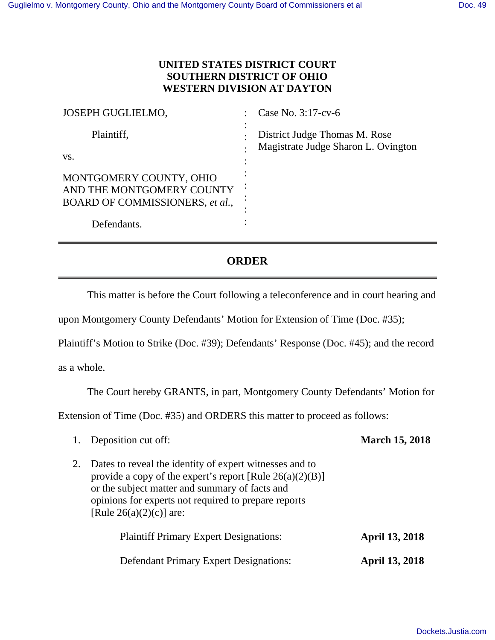## **UNITED STATES DISTRICT COURT SOUTHERN DISTRICT OF OHIO WESTERN DIVISION AT DAYTON**

| <b>JOSEPH GUGLIELMO,</b>                                                                | Case No. 3:17-cv-6                                                   |
|-----------------------------------------------------------------------------------------|----------------------------------------------------------------------|
| Plaintiff,                                                                              | District Judge Thomas M. Rose<br>Magistrate Judge Sharon L. Ovington |
| VS.                                                                                     |                                                                      |
| MONTGOMERY COUNTY, OHIO<br>AND THE MONTGOMERY COUNTY<br>BOARD OF COMMISSIONERS, et al., |                                                                      |
| Defendants.                                                                             |                                                                      |

## **ORDER**

This matter is before the Court following a teleconference and in court hearing and

upon Montgomery County Defendants' Motion for Extension of Time (Doc. #35);

Plaintiff's Motion to Strike (Doc. #39); Defendants' Response (Doc. #45); and the record

as a whole.

The Court hereby GRANTS, in part, Montgomery County Defendants' Motion for

Extension of Time (Doc. #35) and ORDERS this matter to proceed as follows:

| 1. | Deposition cut off:                                                                                                                                                                                                                                            | <b>March 15, 2018</b> |
|----|----------------------------------------------------------------------------------------------------------------------------------------------------------------------------------------------------------------------------------------------------------------|-----------------------|
| 2. | Dates to reveal the identity of expert witnesses and to<br>provide a copy of the expert's report [Rule $26(a)(2)(B)$ ]<br>or the subject matter and summary of facts and<br>opinions for experts not required to prepare reports<br>[Rule $26(a)(2)(c)$ ] are: |                       |
|    | <b>Plaintiff Primary Expert Designations:</b>                                                                                                                                                                                                                  | <b>April 13, 2018</b> |
|    | <b>Defendant Primary Expert Designations:</b>                                                                                                                                                                                                                  | <b>April 13, 2018</b> |